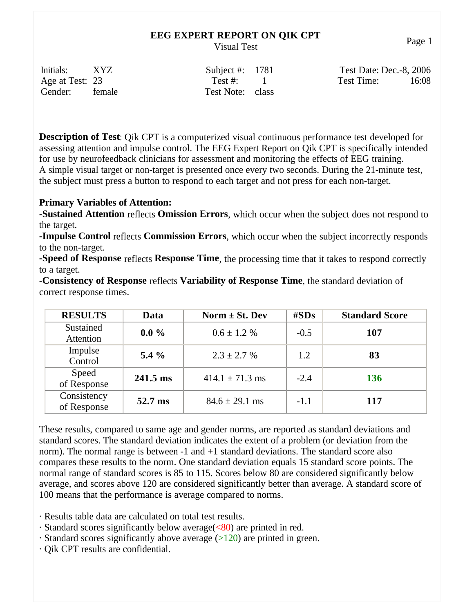| Initials:       | XYZ    | Subject #: $1781$ | Test Date: Dec.-8, 2006 |
|-----------------|--------|-------------------|-------------------------|
| Age at Test: 23 |        | Test #: 1         | 16:08<br>Test Time:     |
| Gender:         | female | Test Note: class  |                         |

**Description of Test**: Qik CPT is a computerized visual continuous performance test developed for assessing attention and impulse control. The EEG Expert Report on Qik CPT is specifically intended for use by neurofeedback clinicians for assessment and monitoring the effects of EEG training. A simple visual target or non-target is presented once every two seconds. During the 21-minute test, the subject must press a button to respond to each target and not press for each non-target.

### **Primary Variables of Attention:**

**-Sustained Attention** reflects **Omission Errors**, which occur when the subject does not respond to the target.

**-Impulse Control** reflects **Commission Errors**, which occur when the subject incorrectly responds to the non-target.

**-Speed of Response** reflects **Response Time**, the processing time that it takes to respond correctly to a target.

**-Consistency of Response** reflects **Variability of Response Time**, the standard deviation of correct response times.

| <b>RESULTS</b>             | Data               | Norm $\pm$ St. Dev  | $\#SDs$ | <b>Standard Score</b> |
|----------------------------|--------------------|---------------------|---------|-----------------------|
| Sustained<br>Attention     | $0.0\%$            | $0.6 \pm 1.2 \%$    | $-0.5$  | 107                   |
| Impulse<br>Control         | $5.4\%$            | $2.3 \pm 2.7$ %     | 1.2     | 83                    |
| Speed<br>of Response       | $241.5 \text{ ms}$ | $414.1 \pm 71.3$ ms | $-2.4$  | 136                   |
| Consistency<br>of Response | 52.7 ms            | $84.6 \pm 29.1$ ms  | $-1.1$  | 117                   |

These results, compared to same age and gender norms, are reported as standard deviations and standard scores. The standard deviation indicates the extent of a problem (or deviation from the norm). The normal range is between -1 and +1 standard deviations. The standard score also compares these results to the norm. One standard deviation equals 15 standard score points. The normal range of standard scores is 85 to 115. Scores below 80 are considered significantly below average, and scores above 120 are considered significantly better than average. A standard score of 100 means that the performance is average compared to norms.

- · Results table data are calculated on total test results.
- · Standard scores significantly below average(<80) are printed in red.
- $\cdot$  Standard scores significantly above average ( $>120$ ) are printed in green.
- · Qik CPT results are confidential.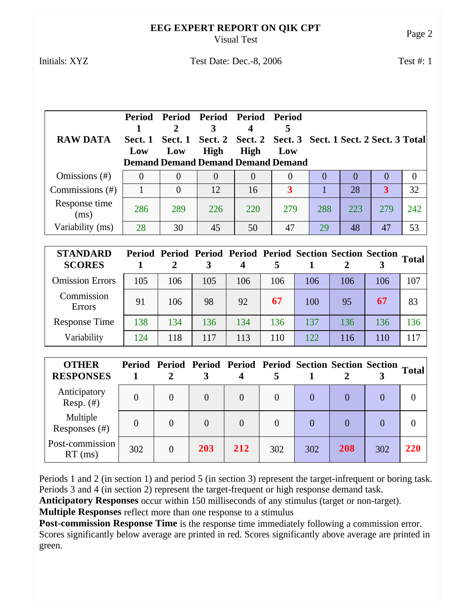#### **EEG EXPERT REPORT ON QIK CPT** Visual Test<br>Visual Test

## Initials: XYZ Test Date: Dec.-8, 2006 Test #: 1

| <b>RAW DATA</b>       | Sect. 1<br>Low | 2<br>Low | Period Period Period Period<br>Sect. 1 Sect. 2 Sect. 2 Sect. 3 Sect. 1 Sect. 2 Sect. 3 Total<br>High<br><b>Demand Demand Demand Demand Demand</b> | <b>High</b> | - Period<br>Low |     |        |        |          |
|-----------------------|----------------|----------|---------------------------------------------------------------------------------------------------------------------------------------------------|-------------|-----------------|-----|--------|--------|----------|
| Omissions (#)         | $\Omega$       | 0        |                                                                                                                                                   | $\theta$    | $\Omega$        |     | $\cup$ | $\cup$ | $\theta$ |
| Commissions (#)       |                | 0        | 12                                                                                                                                                | 16          | 3               |     | 28     | 3      | 32       |
| Response time<br>(ms) | 286            | 289      | 226                                                                                                                                               | 220         | 279             | 288 | 223    | 279    | 242      |
| Variability (ms)      | 28             | 30       | 45                                                                                                                                                | 50          | 47              | 29  | 48     | 47     | 53       |

| <b>STANDARD</b><br><b>SCORES</b> |     |     |     |     |     | Period Period Period Period Period Section Section Section Total |     |     |     |
|----------------------------------|-----|-----|-----|-----|-----|------------------------------------------------------------------|-----|-----|-----|
| <b>Omission Errors</b>           | 105 | 106 | 105 | 106 | 106 | 106                                                              | 106 | 106 | 107 |
| Commission<br><b>Errors</b>      | 91  | 106 | 98  | 92  | 67  | 100                                                              | 95  | 67  | 83  |
| <b>Response Time</b>             | 138 | 134 | 136 | 134 | 136 | 137                                                              | 136 | 136 | 136 |
| Variability                      | 124 | 118 | 117 | 113 | 110 | 122                                                              | 116 | 110 | 117 |

| <b>OTHER</b><br><b>RESPONSES</b> |     | 2              |          |          |          | Period Period Period Period Period Section Section Section Total |     |     |            |
|----------------------------------|-----|----------------|----------|----------|----------|------------------------------------------------------------------|-----|-----|------------|
| Anticipatory<br>Resp. $(\#)$     |     | $\theta$       | $\theta$ | $\theta$ | $\theta$ |                                                                  |     |     |            |
| Multiple<br>Responses (#)        |     | $\theta$       | 0        |          |          |                                                                  |     |     |            |
| Post-commission<br>$RT$ (ms)     | 302 | $\overline{0}$ | 203      | 212      | 302      | 302                                                              | 208 | 302 | <b>220</b> |

Periods 1 and 2 (in section 1) and period 5 (in section 3) represent the target-infrequent or boring task. Periods 3 and 4 (in section 2) represent the target-frequent or high response demand task.

**Anticipatory Responses** occur within 150 milliseconds of any stimulus (target or non-target).

**Multiple Responses** reflect more than one response to a stimulus

**Post-commission Response Time** is the response time immediately following a commission error. Scores significantly below average are printed in red. Scores significantly above average are printed in green.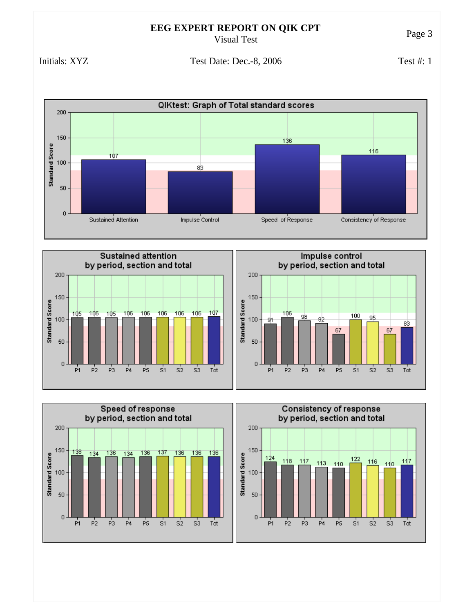Initials: XYZ Test Date: Dec.-8, 2006

Test #: 1







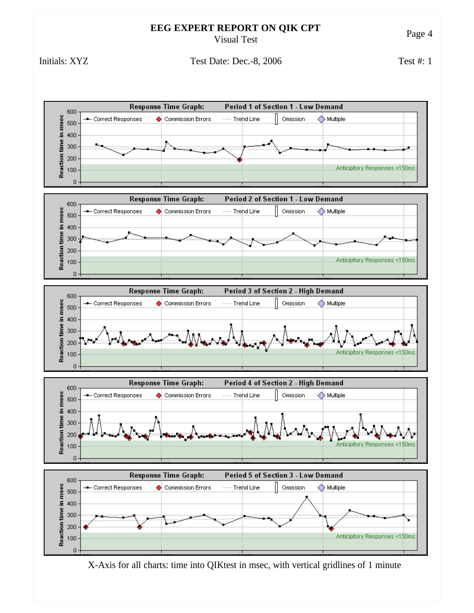Initials: XYZ Test Date: Dec.-8, 2006 Test #: 1



X-Axis for all charts: time into QIKtest in msec, with vertical gridlines of 1 minute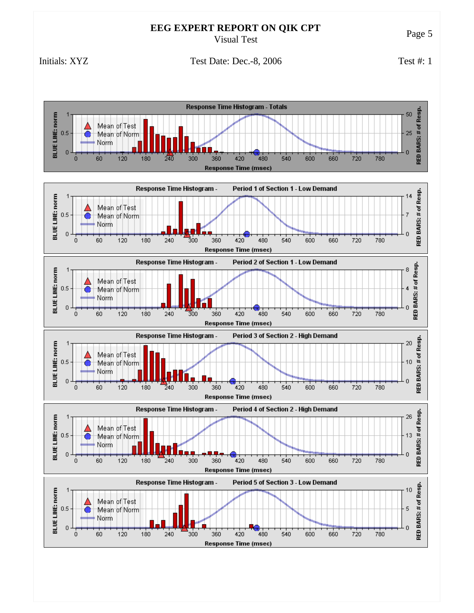Initials: XYZ Test Date: Dec.-8, 2006

Test #: 1

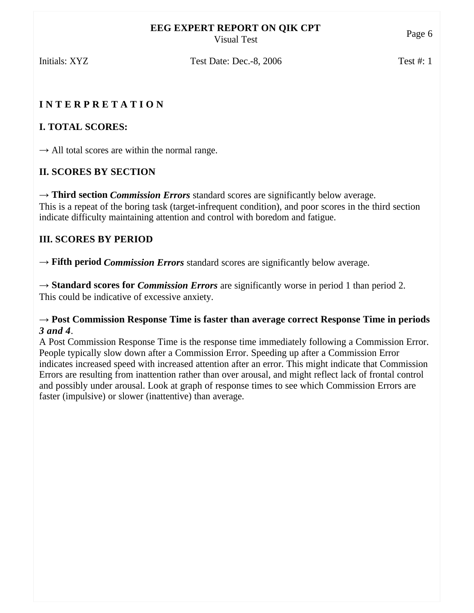Initials: XYZ Test Date: Dec.-8, 2006 Test #: 1

# **I N T E R P R E T A T I O N**

# **I. TOTAL SCORES:**

 $\rightarrow$  All total scores are within the normal range.

# **II. SCORES BY SECTION**

 $\rightarrow$  **Third section** *Commission Errors* standard scores are significantly below average. This is a repeat of the boring task (target-infrequent condition), and poor scores in the third section indicate difficulty maintaining attention and control with boredom and fatigue.

# **III. SCORES BY PERIOD**

 $\rightarrow$  **Fifth period** *Commission Errors* standard scores are significantly below average.

 $\rightarrow$  **Standard scores for** *Commission Errors* are significantly worse in period 1 than period 2. This could be indicative of excessive anxiety.

## → **Post Commission Response Time is faster than average correct Response Time in periods**  *3 and 4*.

A Post Commission Response Time is the response time immediately following a Commission Error. People typically slow down after a Commission Error. Speeding up after a Commission Error indicates increased speed with increased attention after an error. This might indicate that Commission Errors are resulting from inattention rather than over arousal, and might reflect lack of frontal control and possibly under arousal. Look at graph of response times to see which Commission Errors are faster (impulsive) or slower (inattentive) than average.